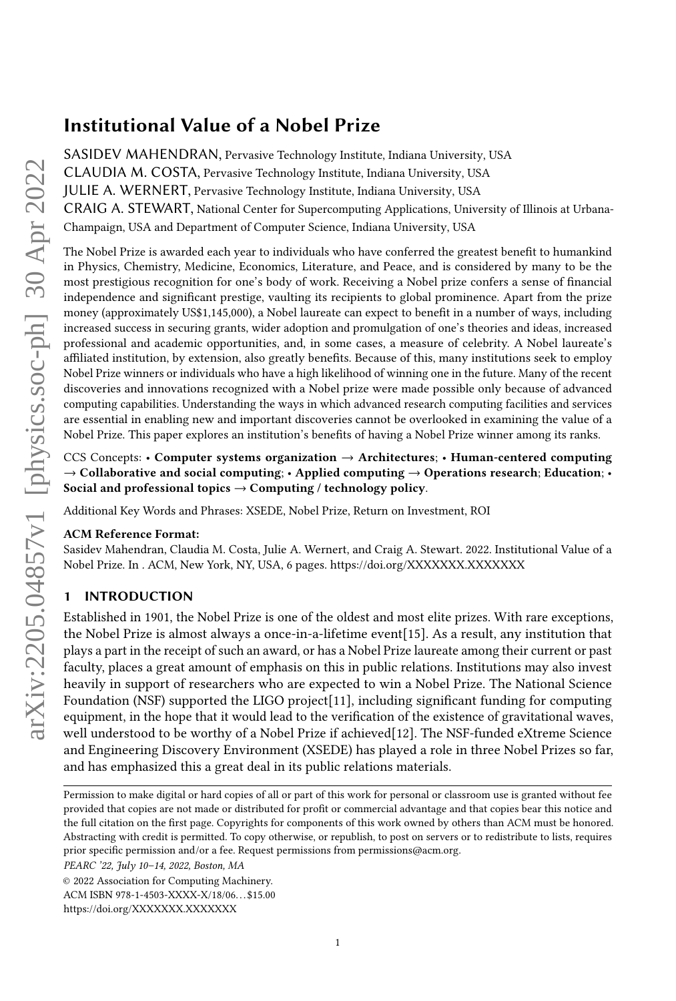# Institutional Value of a Nobel Prize

[SASIDEV MAHENDRAN,](HTTPS://ORCID.ORG/0000-0002-5124-6575) Pervasive Technology Institute, Indiana University, USA [CLAUDIA M. COSTA,](HTTPS://ORCID.ORG/0000-0002-9869-1780) Pervasive Technology Institute, Indiana University, USA [JULIE A. WERNERT,](HTTPS://ORCID.ORG/0000-0002-5705-9527) Pervasive Technology Institute, Indiana University, USA [CRAIG A. STEWART,](HTTPS://ORCID.ORG/0000-0003-2423-9019) National Center for Supercomputing Applications, University of Illinois at Urbana-Champaign, USA and Department of Computer Science, Indiana University, USA

The Nobel Prize is awarded each year to individuals who have conferred the greatest benefit to humankind in Physics, Chemistry, Medicine, Economics, Literature, and Peace, and is considered by many to be the most prestigious recognition for one's body of work. Receiving a Nobel prize confers a sense of financial independence and significant prestige, vaulting its recipients to global prominence. Apart from the prize money (approximately US\$1,145,000), a Nobel laureate can expect to benefit in a number of ways, including increased success in securing grants, wider adoption and promulgation of one's theories and ideas, increased professional and academic opportunities, and, in some cases, a measure of celebrity. A Nobel laureate's affiliated institution, by extension, also greatly benefits. Because of this, many institutions seek to employ Nobel Prize winners or individuals who have a high likelihood of winning one in the future. Many of the recent discoveries and innovations recognized with a Nobel prize were made possible only because of advanced computing capabilities. Understanding the ways in which advanced research computing facilities and services are essential in enabling new and important discoveries cannot be overlooked in examining the value of a Nobel Prize. This paper explores an institution's benefits of having a Nobel Prize winner among its ranks.

# CCS Concepts: • Computer systems organization  $\rightarrow$  Architectures; • Human-centered computing  $\rightarrow$  Collaborative and social computing; • Applied computing  $\rightarrow$  Operations research; Education; • Social and professional topics  $\rightarrow$  Computing / technology policy.

Additional Key Words and Phrases: XSEDE, Nobel Prize, Return on Investment, ROI

# ACM Reference Format:

Sasidev Mahendran, Claudia M. Costa, Julie A. Wernert, and Craig A. Stewart. 2022. Institutional Value of a Nobel Prize. In . ACM, New York, NY, USA, [6](#page-5-0) pages.<https://doi.org/XXXXXXX.XXXXXXX>

# 1 INTRODUCTION

Established in 1901, the Nobel Prize is one of the oldest and most elite prizes. With rare exceptions, the Nobel Prize is almost always a once-in-a-lifetime event[\[15\]](#page-5-1). As a result, any institution that plays a part in the receipt of such an award, or has a Nobel Prize laureate among their current or past faculty, places a great amount of emphasis on this in public relations. Institutions may also invest heavily in support of researchers who are expected to win a Nobel Prize. The National Science Foundation (NSF) supported the LIGO project[\[11\]](#page-5-2), including significant funding for computing equipment, in the hope that it would lead to the verification of the existence of gravitational waves, well understood to be worthy of a Nobel Prize if achieved[\[12\]](#page-5-3). The NSF-funded eXtreme Science and Engineering Discovery Environment (XSEDE) has played a role in three Nobel Prizes so far, and has emphasized this a great deal in its public relations materials.

Permission to make digital or hard copies of all or part of this work for personal or classroom use is granted without fee provided that copies are not made or distributed for profit or commercial advantage and that copies bear this notice and the full citation on the first page. Copyrights for components of this work owned by others than ACM must be honored. Abstracting with credit is permitted. To copy otherwise, or republish, to post on servers or to redistribute to lists, requires prior specific permission and/or a fee. Request permissions from permissions@acm.org.

PEARC '22, July 10–14, 2022, Boston, MA

<sup>©</sup> 2022 Association for Computing Machinery.

ACM ISBN 978-1-4503-XXXX-X/18/06. . . \$15.00

<https://doi.org/XXXXXXX.XXXXXXX>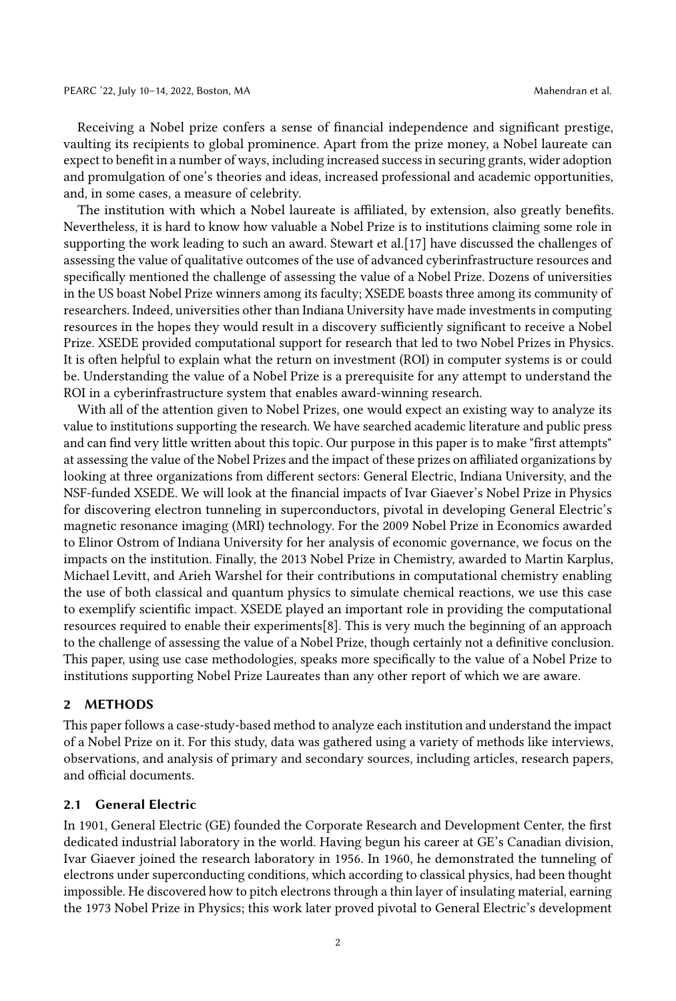Receiving a Nobel prize confers a sense of financial independence and significant prestige, vaulting its recipients to global prominence. Apart from the prize money, a Nobel laureate can expect to benefit in a number of ways, including increased success in securing grants, wider adoption and promulgation of one's theories and ideas, increased professional and academic opportunities, and, in some cases, a measure of celebrity.

The institution with which a Nobel laureate is affiliated, by extension, also greatly benefits. Nevertheless, it is hard to know how valuable a Nobel Prize is to institutions claiming some role in supporting the work leading to such an award. Stewart et al.[\[17\]](#page-5-4) have discussed the challenges of assessing the value of qualitative outcomes of the use of advanced cyberinfrastructure resources and specifically mentioned the challenge of assessing the value of a Nobel Prize. Dozens of universities in the US boast Nobel Prize winners among its faculty; XSEDE boasts three among its community of researchers. Indeed, universities other than Indiana University have made investments in computing resources in the hopes they would result in a discovery sufficiently significant to receive a Nobel Prize. XSEDE provided computational support for research that led to two Nobel Prizes in Physics. It is often helpful to explain what the return on investment (ROI) in computer systems is or could be. Understanding the value of a Nobel Prize is a prerequisite for any attempt to understand the ROI in a cyberinfrastructure system that enables award-winning research.

With all of the attention given to Nobel Prizes, one would expect an existing way to analyze its value to institutions supporting the research. We have searched academic literature and public press and can find very little written about this topic. Our purpose in this paper is to make "first attempts" at assessing the value of the Nobel Prizes and the impact of these prizes on affiliated organizations by looking at three organizations from different sectors: General Electric, Indiana University, and the NSF-funded XSEDE. We will look at the financial impacts of Ivar Giaever's Nobel Prize in Physics for discovering electron tunneling in superconductors, pivotal in developing General Electric's magnetic resonance imaging (MRI) technology. For the 2009 Nobel Prize in Economics awarded to Elinor Ostrom of Indiana University for her analysis of economic governance, we focus on the impacts on the institution. Finally, the 2013 Nobel Prize in Chemistry, awarded to Martin Karplus, Michael Levitt, and Arieh Warshel for their contributions in computational chemistry enabling the use of both classical and quantum physics to simulate chemical reactions, we use this case to exemplify scientific impact. XSEDE played an important role in providing the computational resources required to enable their experiments[\[8\]](#page-5-5). This is very much the beginning of an approach to the challenge of assessing the value of a Nobel Prize, though certainly not a definitive conclusion. This paper, using use case methodologies, speaks more specifically to the value of a Nobel Prize to institutions supporting Nobel Prize Laureates than any other report of which we are aware.

#### 2 METHODS

This paper follows a case-study-based method to analyze each institution and understand the impact of a Nobel Prize on it. For this study, data was gathered using a variety of methods like interviews, observations, and analysis of primary and secondary sources, including articles, research papers, and official documents.

# 2.1 General Electric

In 1901, General Electric (GE) founded the Corporate Research and Development Center, the first dedicated industrial laboratory in the world. Having begun his career at GE's Canadian division, Ivar Giaever joined the research laboratory in 1956. In 1960, he demonstrated the tunneling of electrons under superconducting conditions, which according to classical physics, had been thought impossible. He discovered how to pitch electrons through a thin layer of insulating material, earning the 1973 Nobel Prize in Physics; this work later proved pivotal to General Electric's development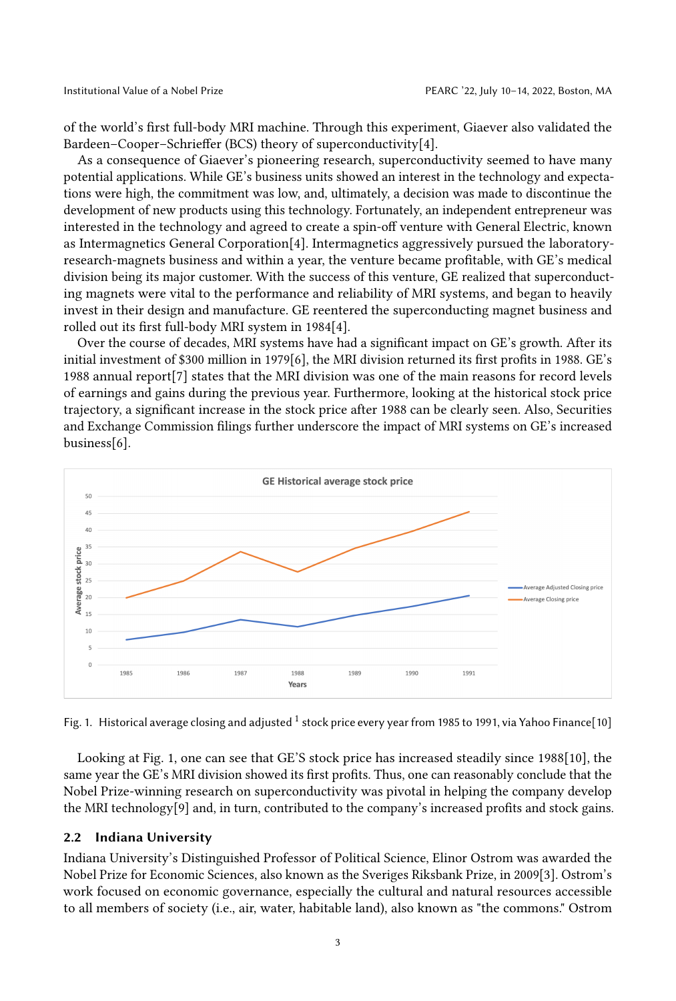of the world's first full-body MRI machine. Through this experiment, Giaever also validated the Bardeen–Cooper–Schrieffer (BCS) theory of superconductivity[\[4\]](#page-5-6).

As a consequence of Giaever's pioneering research, superconductivity seemed to have many potential applications. While GE's business units showed an interest in the technology and expectations were high, the commitment was low, and, ultimately, a decision was made to discontinue the development of new products using this technology. Fortunately, an independent entrepreneur was interested in the technology and agreed to create a spin-off venture with General Electric, known as Intermagnetics General Corporation[\[4\]](#page-5-6). Intermagnetics aggressively pursued the laboratoryresearch-magnets business and within a year, the venture became profitable, with GE's medical division being its major customer. With the success of this venture, GE realized that superconducting magnets were vital to the performance and reliability of MRI systems, and began to heavily invest in their design and manufacture. GE reentered the superconducting magnet business and rolled out its first full-body MRI system in 1984[\[4\]](#page-5-6).

Over the course of decades, MRI systems have had a significant impact on GE's growth. After its initial investment of \$300 million in 1979[\[6\]](#page-5-7), the MRI division returned its first profits in 1988. GE's 1988 annual report[\[7\]](#page-5-8) states that the MRI division was one of the main reasons for record levels of earnings and gains during the previous year. Furthermore, looking at the historical stock price trajectory, a significant increase in the stock price after 1988 can be clearly seen. Also, Securities and Exchange Commission filings further underscore the impact of MRI systems on GE's increased business[\[6\]](#page-5-7).

<span id="page-2-0"></span>

Fig. [1](#page-3-0). Historical average closing and adjusted  $^1$  stock price every year from 1985 to 1991, via Yahoo Finance[\[10\]](#page-5-9)

Looking at Fig. [1,](#page-2-0) one can see that GE'S stock price has increased steadily since 1988[\[10\]](#page-5-9), the same year the GE's MRI division showed its first profits. Thus, one can reasonably conclude that the Nobel Prize-winning research on superconductivity was pivotal in helping the company develop the MRI technology[\[9\]](#page-5-10) and, in turn, contributed to the company's increased profits and stock gains.

# 2.2 Indiana University

Indiana University's Distinguished Professor of Political Science, Elinor Ostrom was awarded the Nobel Prize for Economic Sciences, also known as the Sveriges Riksbank Prize, in 2009[\[3\]](#page-5-11). Ostrom's work focused on economic governance, especially the cultural and natural resources accessible to all members of society (i.e., air, water, habitable land), also known as "the commons." Ostrom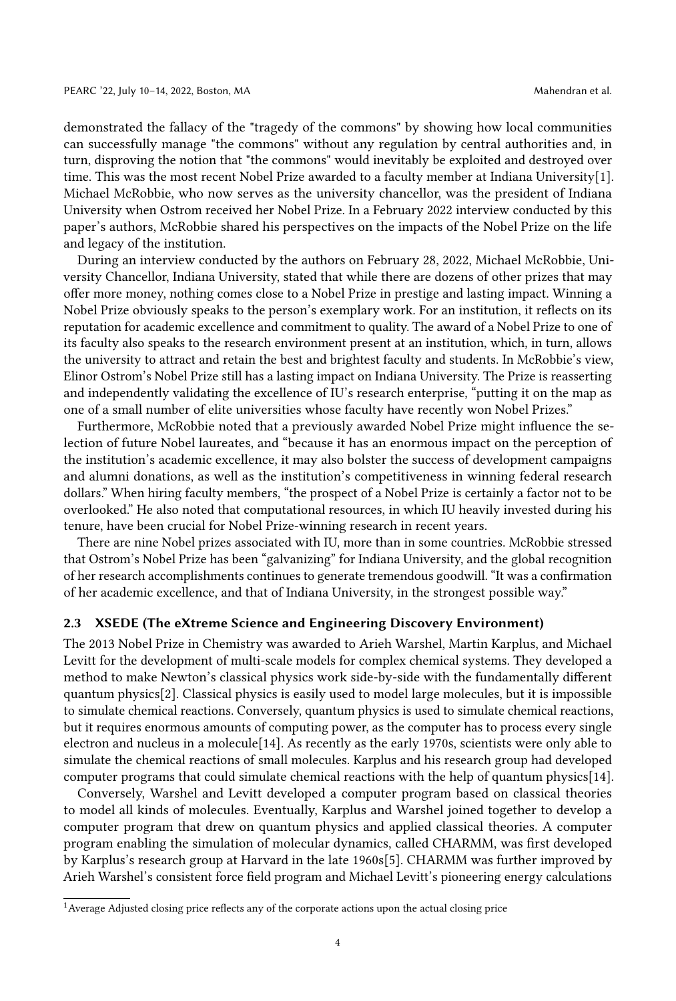demonstrated the fallacy of the "tragedy of the commons" by showing how local communities can successfully manage "the commons" without any regulation by central authorities and, in turn, disproving the notion that "the commons" would inevitably be exploited and destroyed over time. This was the most recent Nobel Prize awarded to a faculty member at Indiana University[\[1\]](#page-5-12). Michael McRobbie, who now serves as the university chancellor, was the president of Indiana University when Ostrom received her Nobel Prize. In a February 2022 interview conducted by this paper's authors, McRobbie shared his perspectives on the impacts of the Nobel Prize on the life and legacy of the institution.

During an interview conducted by the authors on February 28, 2022, Michael McRobbie, University Chancellor, Indiana University, stated that while there are dozens of other prizes that may offer more money, nothing comes close to a Nobel Prize in prestige and lasting impact. Winning a Nobel Prize obviously speaks to the person's exemplary work. For an institution, it reflects on its reputation for academic excellence and commitment to quality. The award of a Nobel Prize to one of its faculty also speaks to the research environment present at an institution, which, in turn, allows the university to attract and retain the best and brightest faculty and students. In McRobbie's view, Elinor Ostrom's Nobel Prize still has a lasting impact on Indiana University. The Prize is reasserting and independently validating the excellence of IU's research enterprise, "putting it on the map as one of a small number of elite universities whose faculty have recently won Nobel Prizes."

Furthermore, McRobbie noted that a previously awarded Nobel Prize might influence the selection of future Nobel laureates, and "because it has an enormous impact on the perception of the institution's academic excellence, it may also bolster the success of development campaigns and alumni donations, as well as the institution's competitiveness in winning federal research dollars." When hiring faculty members, "the prospect of a Nobel Prize is certainly a factor not to be overlooked." He also noted that computational resources, in which IU heavily invested during his tenure, have been crucial for Nobel Prize-winning research in recent years.

There are nine Nobel prizes associated with IU, more than in some countries. McRobbie stressed that Ostrom's Nobel Prize has been "galvanizing" for Indiana University, and the global recognition of her research accomplishments continues to generate tremendous goodwill. "It was a confirmation of her academic excellence, and that of Indiana University, in the strongest possible way."

#### 2.3 XSEDE (The eXtreme Science and Engineering Discovery Environment)

The 2013 Nobel Prize in Chemistry was awarded to Arieh Warshel, Martin Karplus, and Michael Levitt for the development of multi-scale models for complex chemical systems. They developed a method to make Newton's classical physics work side-by-side with the fundamentally different quantum physics[\[2\]](#page-5-13). Classical physics is easily used to model large molecules, but it is impossible to simulate chemical reactions. Conversely, quantum physics is used to simulate chemical reactions, but it requires enormous amounts of computing power, as the computer has to process every single electron and nucleus in a molecule[\[14\]](#page-5-14). As recently as the early 1970s, scientists were only able to simulate the chemical reactions of small molecules. Karplus and his research group had developed computer programs that could simulate chemical reactions with the help of quantum physics[\[14\]](#page-5-14).

Conversely, Warshel and Levitt developed a computer program based on classical theories to model all kinds of molecules. Eventually, Karplus and Warshel joined together to develop a computer program that drew on quantum physics and applied classical theories. A computer program enabling the simulation of molecular dynamics, called CHARMM, was first developed by Karplus's research group at Harvard in the late 1960s[\[5\]](#page-5-15). CHARMM was further improved by Arieh Warshel's consistent force field program and Michael Levitt's pioneering energy calculations

<span id="page-3-0"></span><sup>&</sup>lt;sup>1</sup> Average Adjusted closing price reflects any of the corporate actions upon the actual closing price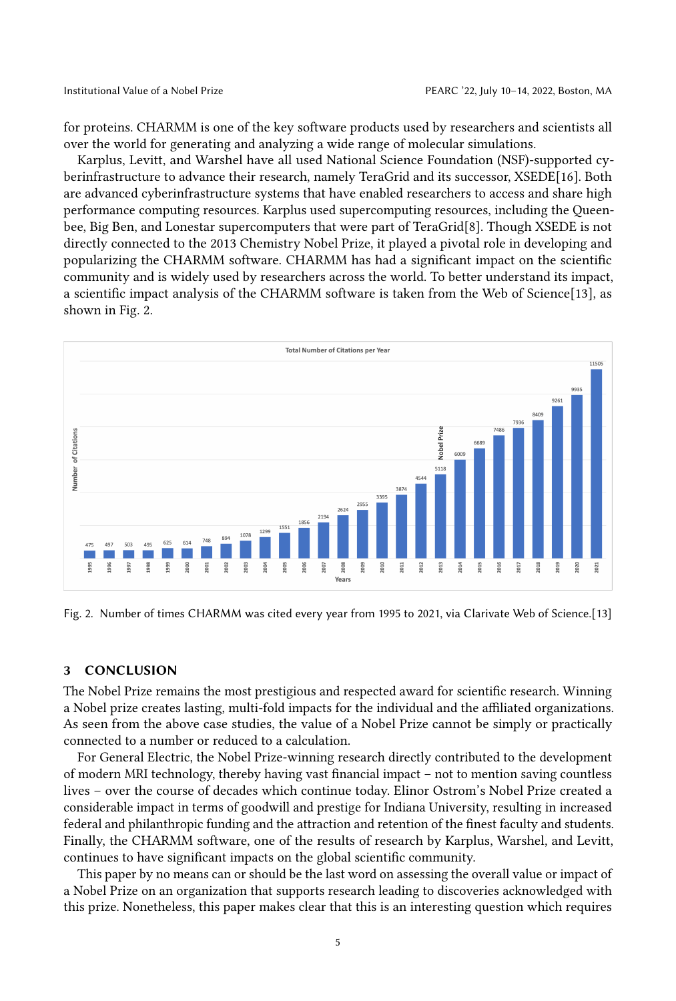for proteins. CHARMM is one of the key software products used by researchers and scientists all over the world for generating and analyzing a wide range of molecular simulations.

Karplus, Levitt, and Warshel have all used National Science Foundation (NSF)-supported cyberinfrastructure to advance their research, namely TeraGrid and its successor, XSEDE[\[16\]](#page-5-16). Both are advanced cyberinfrastructure systems that have enabled researchers to access and share high performance computing resources. Karplus used supercomputing resources, including the Queenbee, Big Ben, and Lonestar supercomputers that were part of TeraGrid[\[8\]](#page-5-5). Though XSEDE is not directly connected to the 2013 Chemistry Nobel Prize, it played a pivotal role in developing and popularizing the CHARMM software. CHARMM has had a significant impact on the scientific community and is widely used by researchers across the world. To better understand its impact, a scientific impact analysis of the CHARMM software is taken from the Web of Science[\[13\]](#page-5-17), as shown in Fig. [2.](#page-4-0)

<span id="page-4-0"></span>

Fig. 2. Number of times CHARMM was cited every year from 1995 to 2021, via Clarivate Web of Science.[\[13\]](#page-5-17)

# 3 CONCLUSION

The Nobel Prize remains the most prestigious and respected award for scientific research. Winning a Nobel prize creates lasting, multi-fold impacts for the individual and the affiliated organizations. As seen from the above case studies, the value of a Nobel Prize cannot be simply or practically connected to a number or reduced to a calculation.

For General Electric, the Nobel Prize-winning research directly contributed to the development of modern MRI technology, thereby having vast financial impact – not to mention saving countless lives – over the course of decades which continue today. Elinor Ostrom's Nobel Prize created a considerable impact in terms of goodwill and prestige for Indiana University, resulting in increased federal and philanthropic funding and the attraction and retention of the finest faculty and students. Finally, the CHARMM software, one of the results of research by Karplus, Warshel, and Levitt, continues to have significant impacts on the global scientific community.

This paper by no means can or should be the last word on assessing the overall value or impact of a Nobel Prize on an organization that supports research leading to discoveries acknowledged with this prize. Nonetheless, this paper makes clear that this is an interesting question which requires